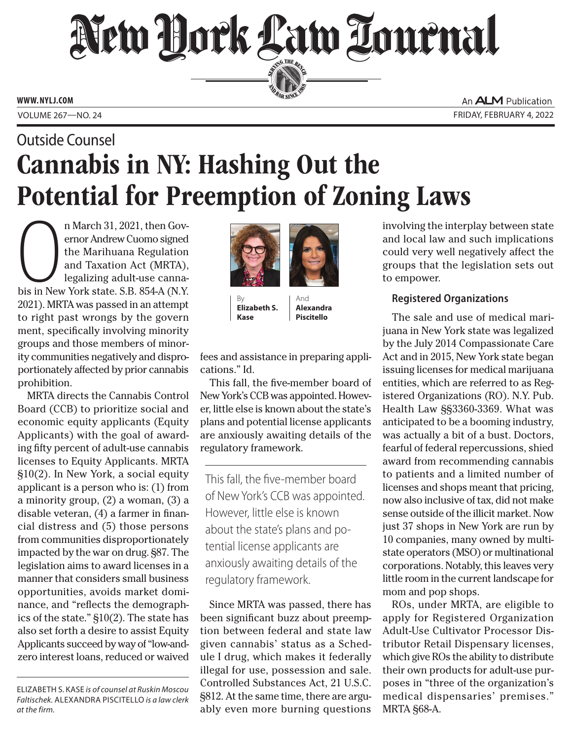# New Hork Law Tournal SERVING THE BEA

**ED BAR SINCE 188** 

**WWW. NYLJ.COM**

An **ALM** Publication VOLUME 267—NO. 24 FRIDAY, FEBRUARY 4, 2022

## Cannabis in NY: Hashing Out the Potential for Preemption of Zoning Laws Outside Counsel

n March 31, 2021, then Governor Andrew Cuomo signed<br>the Marihuana Regulation<br>and Taxation Act (MRTA),<br>legalizing adult-use canna-<br>bis in New York state. S.B. 854-A (N.Y. n March 31, 2021, then Governor Andrew Cuomo signed the Marihuana Regulation and Taxation Act (MRTA), legalizing adult-use canna-2021). MRTA was passed in an attempt to right past wrongs by the govern ment, specifically involving minority groups and those members of minority communities negatively and disproportionately affected by prior cannabis prohibition.

MRTA directs the Cannabis Control Board (CCB) to prioritize social and economic equity applicants (Equity Applicants) with the goal of awarding fifty percent of adult-use cannabis licenses to Equity Applicants. MRTA §10(2). In New York, a social equity applicant is a person who is: (1) from a minority group, (2) a woman, (3) a disable veteran, (4) a farmer in financial distress and (5) those persons from communities disproportionately impacted by the war on drug. §87. The legislation aims to award licenses in a manner that considers small business opportunities, avoids market dominance, and "reflects the demographics of the state." §10(2). The state has also set forth a desire to assist Equity Applicants succeed by way of "low-andzero interest loans, reduced or waived



By **Elizabeth S. Kase**

And **Alexandra Piscitello**

fees and assistance in preparing applications." Id.

This fall, the five-member board of New York's CCB was appointed. However, little else is known about the state's plans and potential license applicants are anxiously awaiting details of the regulatory framework.

This fall, the five-member board of New York's CCB was appointed. However, little else is known about the state's plans and potential license applicants are anxiously awaiting details of the regulatory framework.

Since MRTA was passed, there has been significant buzz about preemption between federal and state law given cannabis' status as a Schedule I drug, which makes it federally illegal for use, possession and sale. Controlled Substances Act, 21 U.S.C. §812. At the same time, there are arguably even more burning questions

involving the interplay between state and local law and such implications could very well negatively affect the groups that the legislation sets out to empower.

### **Registered Organizations**

The sale and use of medical marijuana in New York state was legalized by the July 2014 Compassionate Care Act and in 2015, New York state began issuing licenses for medical marijuana entities, which are referred to as Registered Organizations (RO). N.Y. Pub. Health Law §§3360-3369. What was anticipated to be a booming industry, was actually a bit of a bust. Doctors, fearful of federal repercussions, shied award from recommending cannabis to patients and a limited number of licenses and shops meant that pricing, now also inclusive of tax, did not make sense outside of the illicit market. Now just 37 shops in New York are run by 10 companies, many owned by multistate operators (MSO) or multinational corporations. Notably, this leaves very little room in the current landscape for mom and pop shops.

ROs, under MRTA, are eligible to apply for Registered Organization Adult-Use Cultivator Processor Distributor Retail Dispensary licenses, which give ROs the ability to distribute their own products for adult-use purposes in "three of the organization's medical dispensaries' premises." MRTA §68-A.

ELIZABETH S. KASE *is of counsel at Ruskin Moscou Faltischek.* ALEXANDRA PISCITELLO *is a law clerk at the firm.*